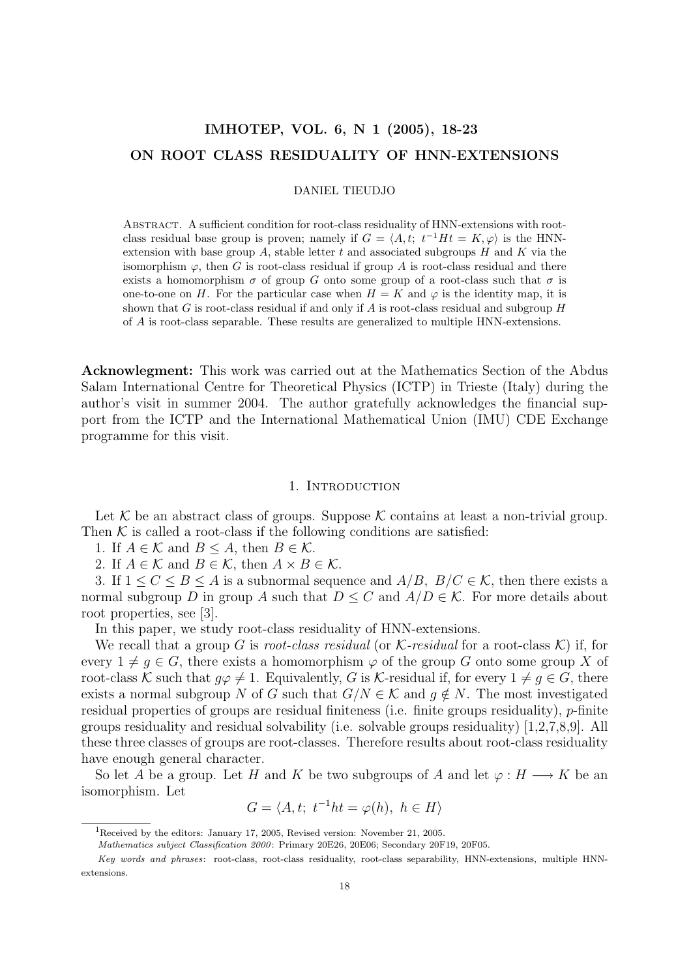# IMHOTEP, VOL. 6, N 1 (2005), 18-23 ON ROOT CLASS RESIDUALITY OF HNN-EXTENSIONS

DANIEL TIEUDJO

Abstract. A sufficient condition for root-class residuality of HNN-extensions with rootclass residual base group is proven; namely if  $G = \langle A, t; t^{-1}Ht = K, \varphi \rangle$  is the HNNextension with base group  $A$ , stable letter  $t$  and associated subgroups  $H$  and  $K$  via the isomorphism  $\varphi$ , then G is root-class residual if group A is root-class residual and there exists a homomorphism  $\sigma$  of group G onto some group of a root-class such that  $\sigma$  is one-to-one on H. For the particular case when  $H = K$  and  $\varphi$  is the identity map, it is shown that G is root-class residual if and only if A is root-class residual and subgroup  $H$ of A is root-class separable. These results are generalized to multiple HNN-extensions.

Acknowlegment: This work was carried out at the Mathematics Section of the Abdus Salam International Centre for Theoretical Physics (ICTP) in Trieste (Italy) during the author's visit in summer 2004. The author gratefully acknowledges the financial support from the ICTP and the International Mathematical Union (IMU) CDE Exchange programme for this visit.

## 1. INTRODUCTION

Let  $K$  be an abstract class of groups. Suppose  $K$  contains at least a non-trivial group. Then  $K$  is called a root-class if the following conditions are satisfied:

1. If  $A \in \mathcal{K}$  and  $B \leq A$ , then  $B \in \mathcal{K}$ .

2. If  $A \in \mathcal{K}$  and  $B \in \mathcal{K}$ , then  $A \times B \in \mathcal{K}$ .

3. If  $1 \leq C \leq B \leq A$  is a subnormal sequence and  $A/B$ ,  $B/C \in \mathcal{K}$ , then there exists a normal subgroup D in group A such that  $D \leq C$  and  $A/D \in \mathcal{K}$ . For more details about root properties, see [3].

In this paper, we study root-class residuality of HNN-extensions.

We recall that a group G is root-class residual (or  $\mathcal{K}\text{-}residual$  for a root-class  $\mathcal{K}$ ) if, for every  $1 \neq g \in G$ , there exists a homomorphism  $\varphi$  of the group G onto some group X of root-class K such that  $g\varphi \neq 1$ . Equivalently, G is K-residual if, for every  $1 \neq g \in G$ , there exists a normal subgroup N of G such that  $G/N \in \mathcal{K}$  and  $q \notin N$ . The most investigated residual properties of groups are residual finiteness (i.e. finite groups residuality), p-finite groups residuality and residual solvability (i.e. solvable groups residuality) [1,2,7,8,9]. All these three classes of groups are root-classes. Therefore results about root-class residuality have enough general character.

So let A be a group. Let H and K be two subgroups of A and let  $\varphi : H \longrightarrow K$  be an isomorphism. Let

$$
G = \langle A, t; t^{-1}ht = \varphi(h), h \in H \rangle
$$

<sup>&</sup>lt;sup>1</sup>Received by the editors: January 17, 2005, Revised version: November 21, 2005.

Mathematics subject Classification 2000: Primary 20E26, 20E06; Secondary 20F19, 20F05.

Key words and phrases: root-class, root-class residuality, root-class separability, HNN-extensions, multiple HNNextensions.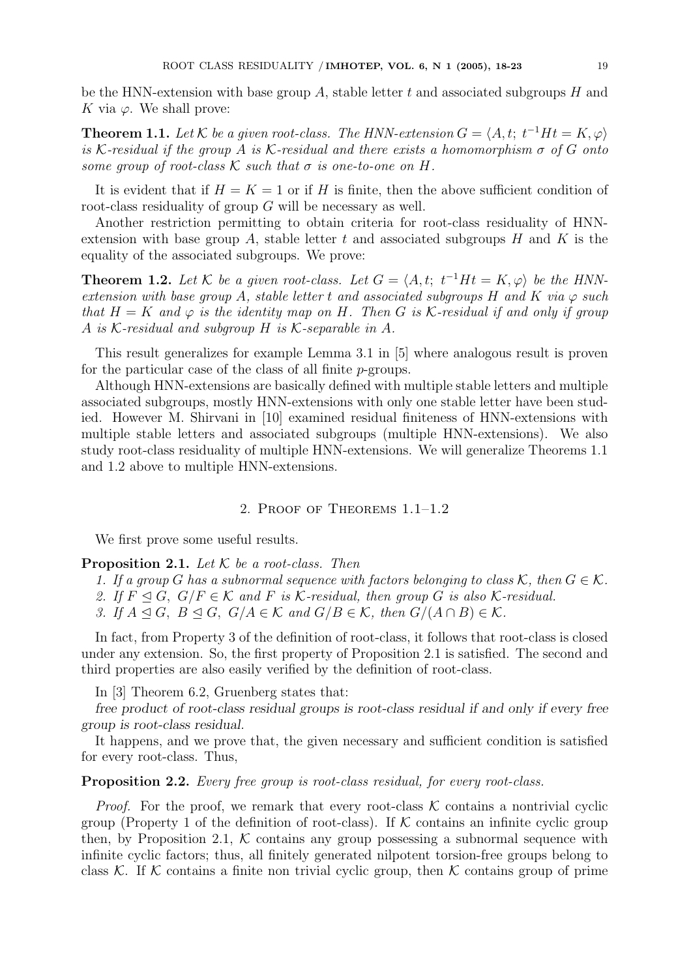be the HNN-extension with base group  $A$ , stable letter t and associated subgroups  $H$  and K via  $\varphi$ . We shall prove:

**Theorem 1.1.** Let K be a given root-class. The HNN-extension  $G = \langle A, t; t^{-1}Ht = K, \varphi \rangle$ is K-residual if the group A is K-residual and there exists a homomorphism  $\sigma$  of G onto some group of root-class  $K$  such that  $\sigma$  is one-to-one on H.

It is evident that if  $H = K = 1$  or if H is finite, then the above sufficient condition of root-class residuality of group G will be necessary as well.

Another restriction permitting to obtain criteria for root-class residuality of HNNextension with base group A, stable letter t and associated subgroups  $H$  and  $K$  is the equality of the associated subgroups. We prove:

**Theorem 1.2.** Let K be a given root-class. Let  $G = \langle A, t; t^{-1}Ht = K, \varphi \rangle$  be the HNNextension with base group A, stable letter t and associated subgroups H and K via  $\varphi$  such that  $H = K$  and  $\varphi$  is the identity map on H. Then G is K-residual if and only if group A is K-residual and subgroup H is K-separable in A.

This result generalizes for example Lemma 3.1 in [5] where analogous result is proven for the particular case of the class of all finite p-groups.

Although HNN-extensions are basically defined with multiple stable letters and multiple associated subgroups, mostly HNN-extensions with only one stable letter have been studied. However M. Shirvani in [10] examined residual finiteness of HNN-extensions with multiple stable letters and associated subgroups (multiple HNN-extensions). We also study root-class residuality of multiple HNN-extensions. We will generalize Theorems 1.1 and 1.2 above to multiple HNN-extensions.

# 2. Proof of Theorems 1.1–1.2

We first prove some useful results.

**Proposition 2.1.** Let  $K$  be a root-class. Then

- 1. If a group G has a subnormal sequence with factors belonging to class K, then  $G \in \mathcal{K}$ .
- 2. If  $F \trianglelefteq G$ ,  $G/F \in \mathcal{K}$  and F is K-residual, then group G is also K-residual.
- 3. If  $A \trianglelefteq G$ ,  $B \trianglelefteq G$ ,  $G/A \in \mathcal{K}$  and  $G/B \in \mathcal{K}$ , then  $G/(A \cap B) \in \mathcal{K}$ .

In fact, from Property 3 of the definition of root-class, it follows that root-class is closed under any extension. So, the first property of Proposition 2.1 is satisfied. The second and third properties are also easily verified by the definition of root-class.

In [3] Theorem 6.2, Gruenberg states that:

free product of root-class residual groups is root-class residual if and only if every free group is root-class residual.

It happens, and we prove that, the given necessary and sufficient condition is satisfied for every root-class. Thus,

## Proposition 2.2. Every free group is root-class residual, for every root-class.

*Proof.* For the proof, we remark that every root-class  $K$  contains a nontrivial cyclic group (Property 1 of the definition of root-class). If  $K$  contains an infinite cyclic group then, by Proposition 2.1,  $K$  contains any group possessing a subnormal sequence with infinite cyclic factors; thus, all finitely generated nilpotent torsion-free groups belong to class K. If K contains a finite non trivial cyclic group, then K contains group of prime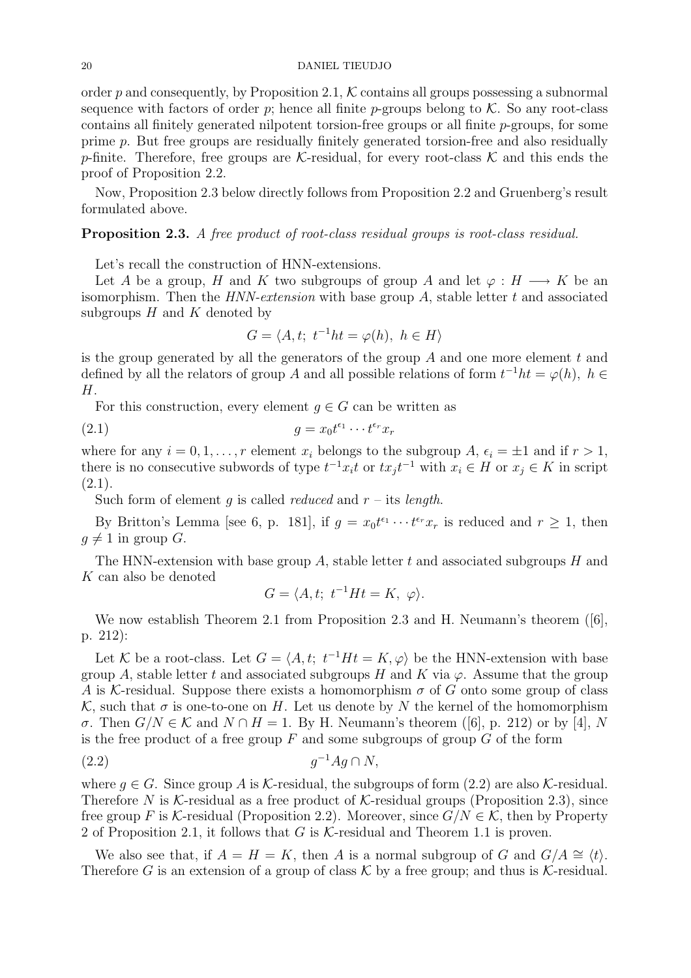order p and consequently, by Proposition 2.1,  $K$  contains all groups possessing a subnormal sequence with factors of order p; hence all finite p-groups belong to  $K$ . So any root-class contains all finitely generated nilpotent torsion-free groups or all finite  $p$ -groups, for some prime p. But free groups are residually finitely generated torsion-free and also residually p-finite. Therefore, free groups are K-residual, for every root-class K and this ends the proof of Proposition 2.2.

Now, Proposition 2.3 below directly follows from Proposition 2.2 and Gruenberg's result formulated above.

# Proposition 2.3. A free product of root-class residual groups is root-class residual.

Let's recall the construction of HNN-extensions.

Let A be a group, H and K two subgroups of group A and let  $\varphi : H \longrightarrow K$  be an isomorphism. Then the  $HNN-extension$  with base group A, stable letter  $t$  and associated subgroups  $H$  and  $K$  denoted by

$$
G = \langle A, t; t^{-1}ht = \varphi(h), h \in H \rangle
$$

is the group generated by all the generators of the group  $A$  and one more element  $t$  and defined by all the relators of group A and all possible relations of form  $t^{-1}ht = \varphi(h)$ ,  $h \in$ H.

For this construction, every element  $q \in G$  can be written as

$$
(2.1) \t\t g = x_0 t^{\epsilon_1} \cdots t^{\epsilon_r} x_r
$$

where for any  $i = 0, 1, ..., r$  element  $x_i$  belongs to the subgroup  $A, \epsilon_i = \pm 1$  and if  $r > 1$ , there is no consecutive subwords of type  $t^{-1}x_it$  or  $tx_jt^{-1}$  with  $x_i \in H$  or  $x_j \in K$  in script  $(2.1).$ 

Such form of element q is called *reduced* and  $r$  – its *length*.

By Britton's Lemma [see 6, p. 181], if  $g = x_0 t^{\epsilon_1} \cdots t^{\epsilon_r} x_r$  is reduced and  $r \ge 1$ , then  $g \neq 1$  in group G.

The HNN-extension with base group A, stable letter  $t$  and associated subgroups  $H$  and  $K$  can also be denoted

$$
G = \langle A, t; t^{-1}Ht = K, \varphi \rangle.
$$

We now establish Theorem 2.1 from Proposition 2.3 and H. Neumann's theorem ([6], p. 212):

Let K be a root-class. Let  $G = \langle A, t; t^{-1}Ht = K, \varphi \rangle$  be the HNN-extension with base group A, stable letter t and associated subgroups H and K via  $\varphi$ . Assume that the group A is K-residual. Suppose there exists a homomorphism  $\sigma$  of G onto some group of class K, such that  $\sigma$  is one-to-one on H. Let us denote by N the kernel of the homomorphism  $σ$ . Then  $G/N ∈ K$  and  $N ∩ H = 1$ . By H. Neumann's theorem ([6], p. 212) or by [4], N is the free product of a free group  $F$  and some subgroups of group  $G$  of the form

$$
(2.2) \t\t g^{-1}Ag \cap N,
$$

where  $q \in G$ . Since group A is K-residual, the subgroups of form (2.2) are also K-residual. Therefore N is K-residual as a free product of K-residual groups (Proposition 2.3), since free group F is K-residual (Proposition 2.2). Moreover, since  $G/N \in \mathcal{K}$ , then by Property 2 of Proposition 2.1, it follows that G is  $K$ -residual and Theorem 1.1 is proven.

We also see that, if  $A = H = K$ , then A is a normal subgroup of G and  $G/A \cong \langle t \rangle$ . Therefore G is an extension of a group of class K by a free group; and thus is K-residual.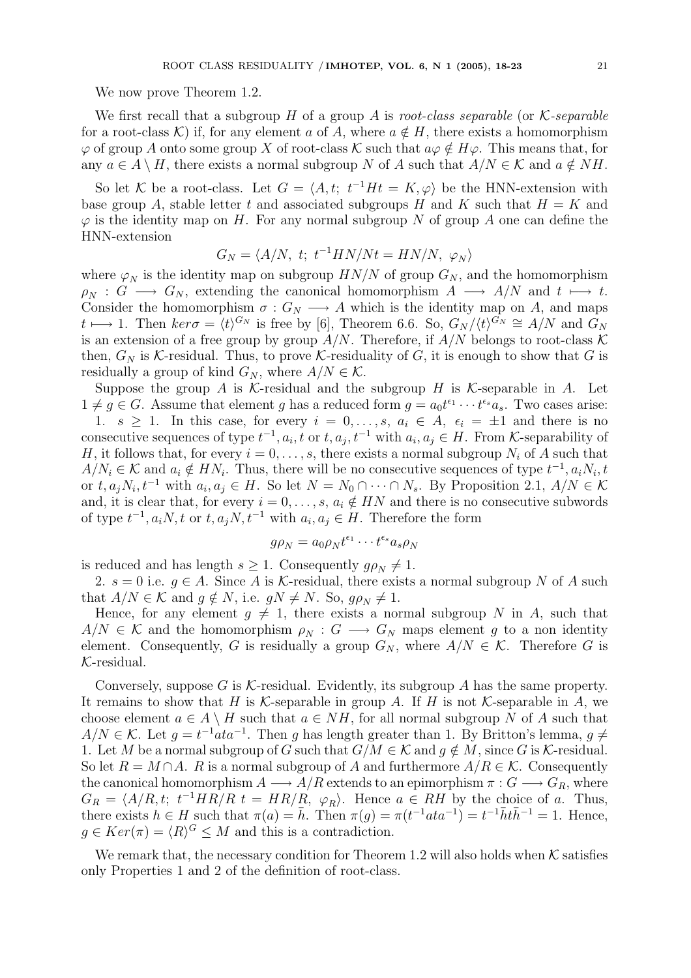We now prove Theorem 1.2.

We first recall that a subgroup H of a group A is root-class separable (or  $K$ -separable for a root-class K) if, for any element a of A, where  $a \notin H$ , there exists a homomorphism  $\varphi$  of group A onto some group X of root-class K such that  $a\varphi \notin H\varphi$ . This means that, for any  $a \in A \setminus H$ , there exists a normal subgroup N of A such that  $A/N \in \mathcal{K}$  and  $a \notin NH$ .

So let K be a root-class. Let  $G = \langle A, t; t^{-1}Ht = K, \varphi \rangle$  be the HNN-extension with base group A, stable letter t and associated subgroups H and K such that  $H = K$  and  $\varphi$  is the identity map on H. For any normal subgroup N of group A one can define the HNN-extension

$$
G_N = \langle A/N, t; t^{-1} H N/Nt = H N/N, \varphi_N \rangle
$$

where  $\varphi_N$  is the identity map on subgroup  $HN/N$  of group  $G_N$ , and the homomorphism  $\rho_N$  :  $G \longrightarrow G_N$ , extending the canonical homomorphism  $A \longrightarrow A/N$  and  $t \longmapsto t$ . Consider the homomorphism  $\sigma: G_N \longrightarrow A$  which is the identity map on A, and maps t  $t \mapsto 1$ . Then  $\ker \sigma = \langle t \rangle^{G_N}$  is free by [6], Theorem 6.6. So,  $G_N / \langle t \rangle^{G_N} \cong A/N$  and  $G_N$ is an extension of a free group by group  $A/N$ . Therefore, if  $A/N$  belongs to root-class K then,  $G_N$  is K-residual. Thus, to prove K-residuality of G, it is enough to show that G is residually a group of kind  $G_N$ , where  $A/N \in \mathcal{K}$ .

Suppose the group A is K-residual and the subgroup H is K-separable in A. Let  $1 \neq g \in G$ . Assume that element g has a reduced form  $g = a_0 t^{\epsilon_1} \cdots t^{\epsilon_s} a_s$ . Two cases arise:

1.  $s \geq 1$ . In this case, for every  $i = 0, \ldots, s, a_i \in A, \epsilon_i = \pm 1$  and there is no consecutive sequences of type  $t^{-1}$ ,  $a_i$ ,  $t$  or  $t$ ,  $a_j$ ,  $t^{-1}$  with  $a_i$ ,  $a_j \in H$ . From K-separability of H, it follows that, for every  $i = 0, \ldots, s$ , there exists a normal subgroup  $N_i$  of A such that  $A/N_i \in \mathcal{K}$  and  $a_i \notin HN_i$ . Thus, there will be no consecutive sequences of type  $t^{-1}, a_iN_i, t$ or  $t, a_j N_i, t^{-1}$  with  $a_i, a_j \in H$ . So let  $N = N_0 \cap \cdots \cap N_s$ . By Proposition 2.1,  $A/N \in \mathcal{K}$ and, it is clear that, for every  $i = 0, \ldots, s, a_i \notin HN$  and there is no consecutive subwords of type  $t^{-1}$ ,  $a_iN$ , t or  $t$ ,  $a_jN$ ,  $t^{-1}$  with  $a_i$ ,  $a_j \in H$ . Therefore the form

$$
g\rho_N = a_0 \rho_N t^{\epsilon_1} \cdots t^{\epsilon_s} a_s \rho_N
$$

is reduced and has length  $s \geq 1$ . Consequently  $g \rho_N \neq 1$ .

2.  $s = 0$  i.e.  $g \in A$ . Since A is K-residual, there exists a normal subgroup N of A such that  $A/N \in \mathcal{K}$  and  $g \notin N$ , i.e.  $gN \neq N$ . So,  $g\rho_N \neq 1$ .

Hence, for any element  $g \neq 1$ , there exists a normal subgroup N in A, such that  $A/N \in \mathcal{K}$  and the homomorphism  $\rho_N : G \longrightarrow G_N$  maps element g to a non identity element. Consequently, G is residually a group  $G_N$ , where  $A/N \in \mathcal{K}$ . Therefore G is K-residual.

Conversely, suppose G is  $K$ -residual. Evidently, its subgroup A has the same property. It remains to show that H is  $\mathcal K$ -separable in group A. If H is not  $\mathcal K$ -separable in A, we choose element  $a \in A \setminus H$  such that  $a \in NH$ , for all normal subgroup N of A such that  $A/N \in \mathcal{K}$ . Let  $g = t^{-1}ata^{-1}$ . Then g has length greater than 1. By Britton's lemma,  $g \neq$ 1. Let M be a normal subgroup of G such that  $G/M \in \mathcal{K}$  and  $q \notin M$ , since G is K-residual. So let  $R = M \cap A$ . R is a normal subgroup of A and furthermore  $A/R \in \mathcal{K}$ . Consequently the canonical homomorphism  $A \longrightarrow A/R$  extends to an epimorphism  $\pi: G \longrightarrow G_R$ , where  $G_R = \langle A/R, t; t^{-1}HR/R \ t = HR/R, \ \varphi_R \rangle$ . Hence  $a \in RH$  by the choice of a. Thus, there exists  $h \in H$  such that  $\pi(a) = \bar{h}$ . Then  $\pi(g) = \pi(t^{-1}ata^{-1}) = t^{-1}\bar{h}t\bar{h}^{-1} = 1$ . Hence,  $g \in Ker(\pi) = \langle R \rangle^G \leq M$  and this is a contradiction.

We remark that, the necessary condition for Theorem 1.2 will also holds when  $K$  satisfies only Properties 1 and 2 of the definition of root-class.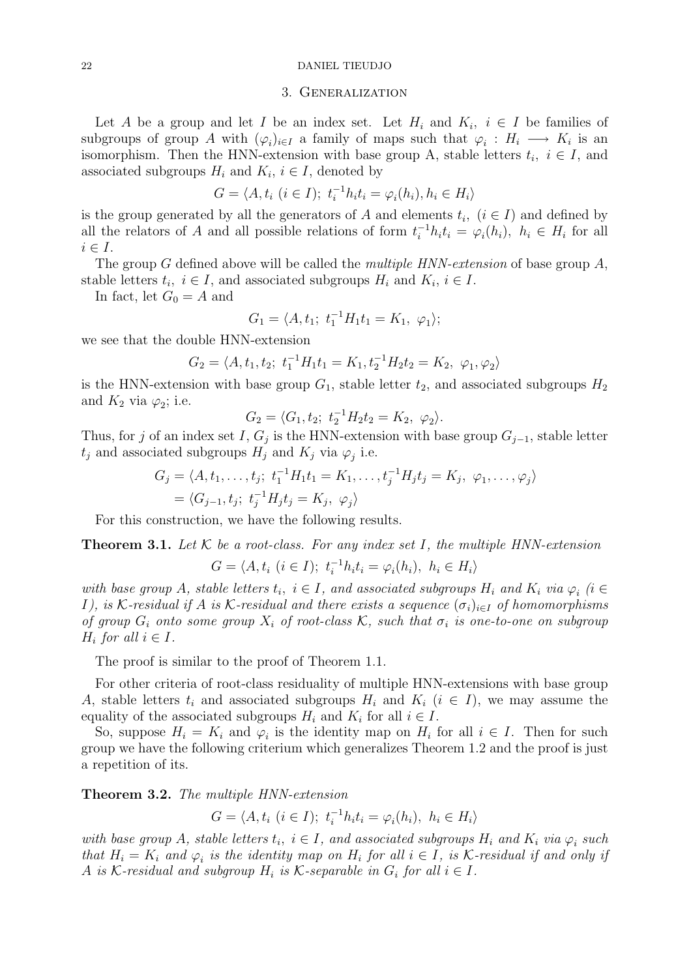#### 22 DANIEL TIEUDJO

#### 3. Generalization

Let A be a group and let I be an index set. Let  $H_i$  and  $K_i$ ,  $i \in I$  be families of subgroups of group A with  $(\varphi_i)_{i\in I}$  a family of maps such that  $\varphi_i: H_i \longrightarrow K_i$  is an isomorphism. Then the HNN-extension with base group A, stable letters  $t_i$ ,  $i \in I$ , and associated subgroups  $H_i$  and  $K_i$ ,  $i \in I$ , denoted by

$$
G = \langle A, t_i \ (i \in I); \ t_i^{-1} h_i t_i = \varphi_i(h_i), h_i \in H_i \rangle
$$

is the group generated by all the generators of A and elements  $t_i$ ,  $(i \in I)$  and defined by all the relators of A and all possible relations of form  $t_i^{-1}h_it_i = \varphi_i(h_i)$ ,  $h_i \in H_i$  for all  $i \in I$ .

The group  $G$  defined above will be called the *multiple HNN-extension* of base group  $A$ , stable letters  $t_i$ ,  $i \in I$ , and associated subgroups  $H_i$  and  $K_i$ ,  $i \in I$ .

In fact, let  $G_0 = A$  and

$$
G_1 = \langle A, t_1; t_1^{-1} H_1 t_1 = K_1, \varphi_1 \rangle;
$$

we see that the double HNN-extension

$$
G_2 = \langle A, t_1, t_2; t_1^{-1} H_1 t_1 = K_1, t_2^{-1} H_2 t_2 = K_2, \varphi_1, \varphi_2 \rangle
$$

is the HNN-extension with base group  $G_1$ , stable letter  $t_2$ , and associated subgroups  $H_2$ and  $K_2$  via  $\varphi_2$ ; i.e.

$$
G_2 = \langle G_1, t_2; t_2^{-1} H_2 t_2 = K_2, \varphi_2 \rangle.
$$

Thus, for j of an index set I,  $G_j$  is the HNN-extension with base group  $G_{j-1}$ , stable letter  $t_j$  and associated subgroups  $H_j$  and  $K_j$  via  $\varphi_j$  i.e.

$$
G_j = \langle A, t_1, \dots, t_j; \ t_1^{-1} H_1 t_1 = K_1, \dots, t_j^{-1} H_j t_j = K_j, \ \varphi_1, \dots, \varphi_j \rangle
$$
  
=  $\langle G_{j-1}, t_j; \ t_j^{-1} H_j t_j = K_j, \ \varphi_j \rangle$ 

For this construction, we have the following results.

**Theorem 3.1.** Let  $K$  be a root-class. For any index set I, the multiple HNN-extension

$$
G = \langle A, t_i \ (i \in I); \ t_i^{-1} h_i t_i = \varphi_i(h_i), \ h_i \in H_i \rangle
$$

with base group A, stable letters  $t_i$ ,  $i \in I$ , and associated subgroups  $H_i$  and  $K_i$  via  $\varphi_i$  (i  $\in$ I), is K-residual if A is K-residual and there exists a sequence  $(\sigma_i)_{i\in I}$  of homomorphisms of group  $G_i$  onto some group  $X_i$  of root-class  $K$ , such that  $\sigma_i$  is one-to-one on subgroup  $H_i$  for all  $i \in I$ .

The proof is similar to the proof of Theorem 1.1.

For other criteria of root-class residuality of multiple HNN-extensions with base group A, stable letters  $t_i$  and associated subgroups  $H_i$  and  $K_i$   $(i \in I)$ , we may assume the equality of the associated subgroups  $H_i$  and  $K_i$  for all  $i \in I$ .

So, suppose  $H_i = K_i$  and  $\varphi_i$  is the identity map on  $H_i$  for all  $i \in I$ . Then for such group we have the following criterium which generalizes Theorem 1.2 and the proof is just a repetition of its.

Theorem 3.2. The multiple HNN-extension

$$
G = \langle A, t_i \ (i \in I); \ t_i^{-1}h_it_i = \varphi_i(h_i), \ h_i \in H_i \rangle
$$

with base group A, stable letters  $t_i$ ,  $i \in I$ , and associated subgroups  $H_i$  and  $K_i$  via  $\varphi_i$  such that  $H_i = K_i$  and  $\varphi_i$  is the identity map on  $H_i$  for all  $i \in I$ , is K-residual if and only if A is  $K$ -residual and subgroup  $H_i$  is  $K$ -separable in  $G_i$  for all  $i \in I$ .